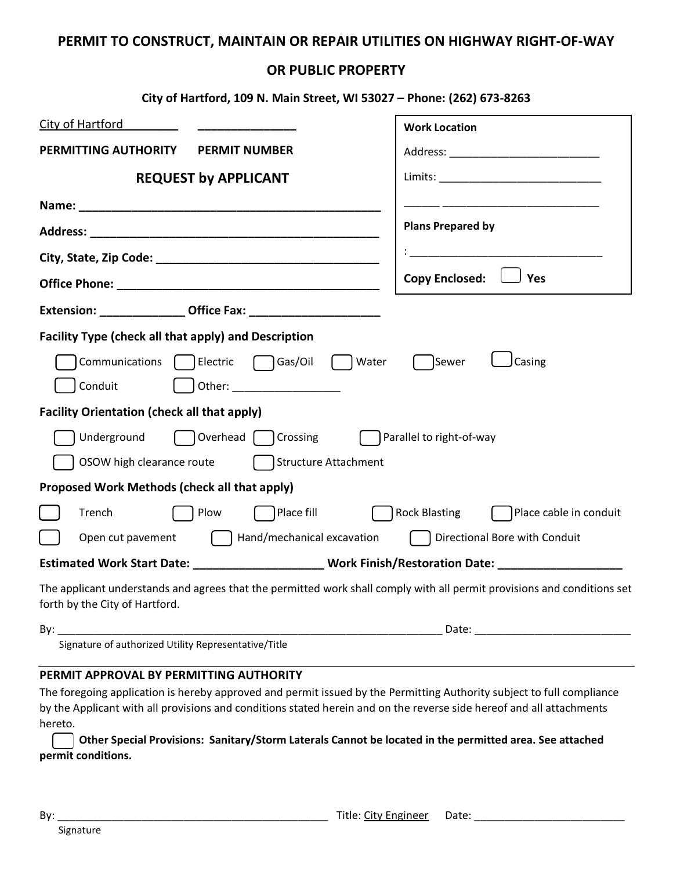## **PERMIT TO CONSTRUCT, MAINTAIN OR REPAIR UTILITIES ON HIGHWAY RIGHT-OF-WAY**

## **OR PUBLIC PROPERTY**

| City of Hartford, 109 N. Main Street, WI 53027 - Phone: (262) 673-8263                                                                                    |                                                |
|-----------------------------------------------------------------------------------------------------------------------------------------------------------|------------------------------------------------|
| <b>City of Hartford</b>                                                                                                                                   | <b>Work Location</b>                           |
| PERMITTING AUTHORITY<br><b>PERMIT NUMBER</b>                                                                                                              |                                                |
| <b>REQUEST by APPLICANT</b>                                                                                                                               |                                                |
|                                                                                                                                                           |                                                |
|                                                                                                                                                           | <b>Plans Prepared by</b>                       |
|                                                                                                                                                           |                                                |
|                                                                                                                                                           | <b>Copy Enclosed:</b><br>J Yes                 |
|                                                                                                                                                           |                                                |
| <b>Facility Type (check all that apply) and Description</b>                                                                                               |                                                |
| Communications   Electric<br>$\bigcap$ Gas/Oil<br>  Water                                                                                                 | Sewer<br>Casing                                |
| Conduit                                                                                                                                                   |                                                |
| <b>Facility Orientation (check all that apply)</b>                                                                                                        |                                                |
| Crossing<br>Underground<br>Overhead                                                                                                                       | Parallel to right-of-way                       |
| Structure Attachment<br>OSOW high clearance route                                                                                                         |                                                |
| Proposed Work Methods (check all that apply)                                                                                                              |                                                |
| Place fill<br>Trench<br>Plow                                                                                                                              | <b>Rock Blasting</b><br>Place cable in conduit |
| Hand/mechanical excavation<br>Open cut pavement                                                                                                           | Directional Bore with Conduit                  |
| Estimated Work Start Date: ________________________ Work Finish/Restoration Date: __________________                                                      |                                                |
| The applicant understands and agrees that the permitted work shall comply with all permit provisions and conditions set<br>forth by the City of Hartford. |                                                |
| By:                                                                                                                                                       | Date:                                          |

## **PERMIT APPROVAL BY PERMITTING AUTHORITY**

Signature of authorized Utility Representative/Title

The foregoing application is hereby approved and permit issued by the Permitting Authority subject to full compliance by the Applicant with all provisions and conditions stated herein and on the reverse side hereof and all attachments hereto.

**Other Special Provisions: Sanitary/Storm Laterals Cannot be located in the permitted area. See attached permit conditions.**

Signature

| w<br>٧ |  |
|--------|--|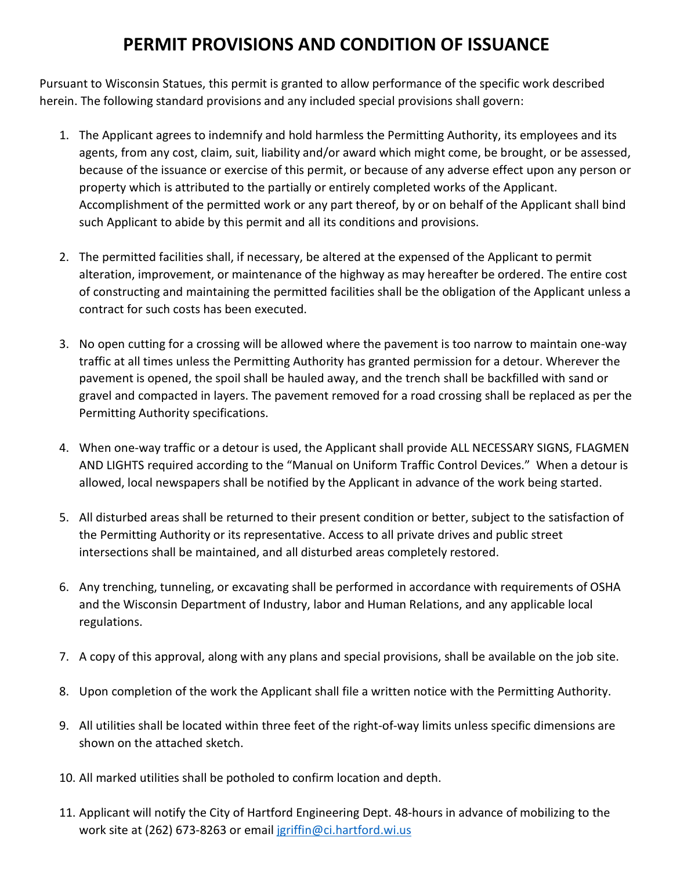## **PERMIT PROVISIONS AND CONDITION OF ISSUANCE**

Pursuant to Wisconsin Statues, this permit is granted to allow performance of the specific work described herein. The following standard provisions and any included special provisions shall govern:

- 1. The Applicant agrees to indemnify and hold harmless the Permitting Authority, its employees and its agents, from any cost, claim, suit, liability and/or award which might come, be brought, or be assessed, because of the issuance or exercise of this permit, or because of any adverse effect upon any person or property which is attributed to the partially or entirely completed works of the Applicant. Accomplishment of the permitted work or any part thereof, by or on behalf of the Applicant shall bind such Applicant to abide by this permit and all its conditions and provisions.
- 2. The permitted facilities shall, if necessary, be altered at the expensed of the Applicant to permit alteration, improvement, or maintenance of the highway as may hereafter be ordered. The entire cost of constructing and maintaining the permitted facilities shall be the obligation of the Applicant unless a contract for such costs has been executed.
- 3. No open cutting for a crossing will be allowed where the pavement is too narrow to maintain one-way traffic at all times unless the Permitting Authority has granted permission for a detour. Wherever the pavement is opened, the spoil shall be hauled away, and the trench shall be backfilled with sand or gravel and compacted in layers. The pavement removed for a road crossing shall be replaced as per the Permitting Authority specifications.
- 4. When one-way traffic or a detour is used, the Applicant shall provide ALL NECESSARY SIGNS, FLAGMEN AND LIGHTS required according to the "Manual on Uniform Traffic Control Devices." When a detour is allowed, local newspapers shall be notified by the Applicant in advance of the work being started.
- 5. All disturbed areas shall be returned to their present condition or better, subject to the satisfaction of the Permitting Authority or its representative. Access to all private drives and public street intersections shall be maintained, and all disturbed areas completely restored.
- 6. Any trenching, tunneling, or excavating shall be performed in accordance with requirements of OSHA and the Wisconsin Department of Industry, labor and Human Relations, and any applicable local regulations.
- 7. A copy of this approval, along with any plans and special provisions, shall be available on the job site.
- 8. Upon completion of the work the Applicant shall file a written notice with the Permitting Authority.
- 9. All utilities shall be located within three feet of the right-of-way limits unless specific dimensions are shown on the attached sketch.
- 10. All marked utilities shall be potholed to confirm location and depth.
- 11. Applicant will notify the City of Hartford Engineering Dept. 48-hours in advance of mobilizing to the work site at (262) 673-8263 or email [jgriffin@ci.hartford.wi.us](mailto:jgriffin@ci.hartford.wi.us)